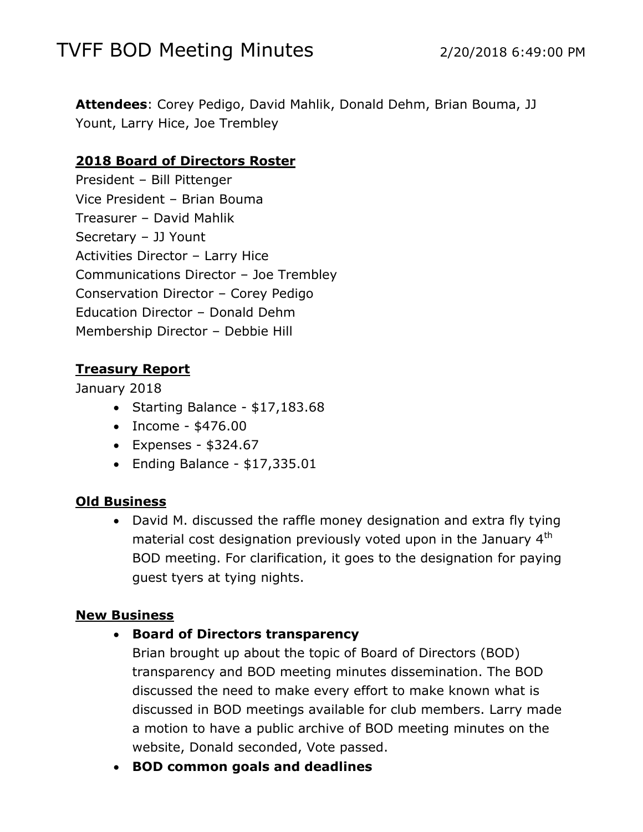# TVFF BOD Meeting Minutes 2/20/2018 6:49:00 PM

**Attendees**: Corey Pedigo, David Mahlik, Donald Dehm, Brian Bouma, JJ Yount, Larry Hice, Joe Trembley

#### **2018 Board of Directors Roster**

President – Bill Pittenger Vice President – Brian Bouma Treasurer – David Mahlik Secretary – JJ Yount Activities Director – Larry Hice Communications Director – Joe Trembley Conservation Director – Corey Pedigo Education Director – Donald Dehm Membership Director – Debbie Hill

### **Treasury Report**

January 2018

- Starting Balance \$17,183.68
- $\bullet$  Income \$476.00
- $\bullet$  Expenses \$324.67
- $\bullet$  Ending Balance \$17,335.01

#### **Old Business**

 David M. discussed the raffle money designation and extra fly tying material cost designation previously voted upon in the January  $4<sup>th</sup>$ BOD meeting. For clarification, it goes to the designation for paying guest tyers at tying nights.

#### **New Business**

**Board of Directors transparency**

Brian brought up about the topic of Board of Directors (BOD) transparency and BOD meeting minutes dissemination. The BOD discussed the need to make every effort to make known what is discussed in BOD meetings available for club members. Larry made a motion to have a public archive of BOD meeting minutes on the website, Donald seconded, Vote passed.

**BOD common goals and deadlines**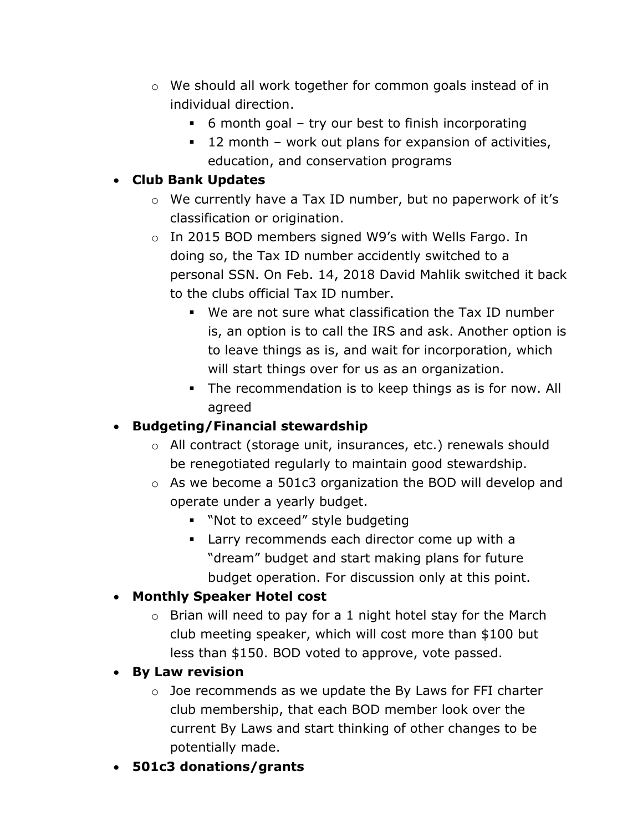- o We should all work together for common goals instead of in individual direction.
	- 6 month goal try our best to finish incorporating
	- 12 month work out plans for expansion of activities, education, and conservation programs

# **Club Bank Updates**

- o We currently have a Tax ID number, but no paperwork of it's classification or origination.
- o In 2015 BOD members signed W9's with Wells Fargo. In doing so, the Tax ID number accidently switched to a personal SSN. On Feb. 14, 2018 David Mahlik switched it back to the clubs official Tax ID number.
	- We are not sure what classification the Tax ID number is, an option is to call the IRS and ask. Another option is to leave things as is, and wait for incorporation, which will start things over for us as an organization.
	- The recommendation is to keep things as is for now. All agreed

# **Budgeting/Financial stewardship**

- o All contract (storage unit, insurances, etc.) renewals should be renegotiated regularly to maintain good stewardship.
- o As we become a 501c3 organization the BOD will develop and operate under a yearly budget.
	- **Not to exceed" style budgeting**
	- **EXECOMMEDE Larry recommends each director come up with a** "dream" budget and start making plans for future budget operation. For discussion only at this point.

# **Monthly Speaker Hotel cost**

 $\circ$  Brian will need to pay for a 1 night hotel stay for the March club meeting speaker, which will cost more than \$100 but less than \$150. BOD voted to approve, vote passed.

# **By Law revision**

- o Joe recommends as we update the By Laws for FFI charter club membership, that each BOD member look over the current By Laws and start thinking of other changes to be potentially made.
- **501c3 donations/grants**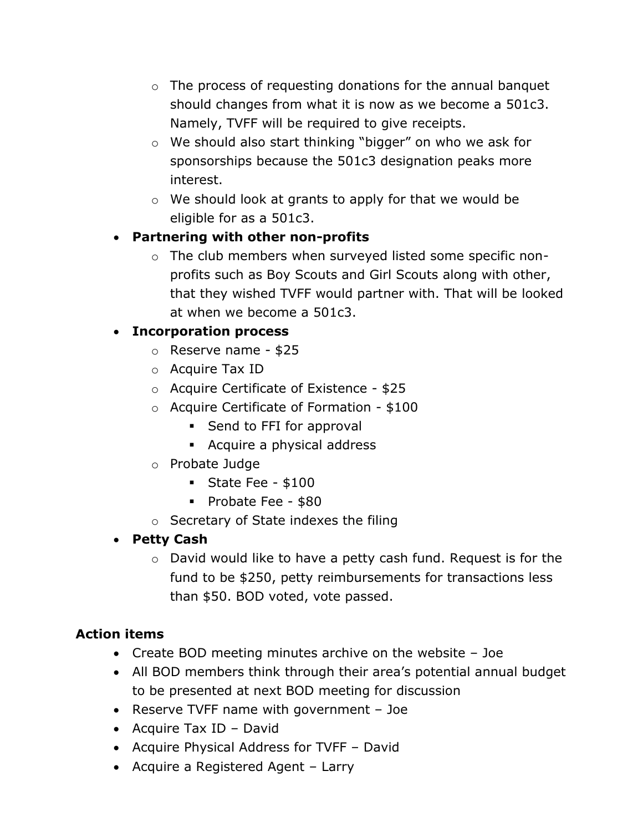- $\circ$  The process of requesting donations for the annual banquet should changes from what it is now as we become a 501c3. Namely, TVFF will be required to give receipts.
- o We should also start thinking "bigger" on who we ask for sponsorships because the 501c3 designation peaks more interest.
- o We should look at grants to apply for that we would be eligible for as a 501c3.

## **Partnering with other non-profits**

o The club members when surveyed listed some specific nonprofits such as Boy Scouts and Girl Scouts along with other, that they wished TVFF would partner with. That will be looked at when we become a 501c3.

### **Incorporation process**

- o Reserve name \$25
- o Acquire Tax ID
- o Acquire Certificate of Existence \$25
- o Acquire Certificate of Formation \$100
	- **Send to FFI for approval**
	- **Acquire a physical address**
- o Probate Judge
	- State Fee  $$100$
	- Probate Fee \$80
- o Secretary of State indexes the filing

## **Petty Cash**

o David would like to have a petty cash fund. Request is for the fund to be \$250, petty reimbursements for transactions less than \$50. BOD voted, vote passed.

## **Action items**

- Create BOD meeting minutes archive on the website Joe
- All BOD members think through their area's potential annual budget to be presented at next BOD meeting for discussion
- Reserve TVFF name with government Joe
- Acquire Tax ID David
- Acquire Physical Address for TVFF David
- Acquire a Registered Agent Larry